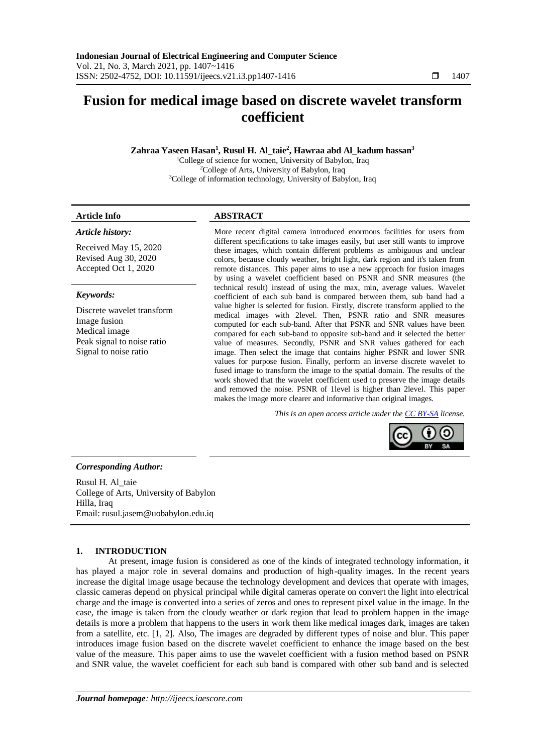# **Fusion for medical image based on discrete wavelet transform coefficient**

**Zahraa Yaseen Hasan<sup>1</sup> , Rusul H. Al\_taie<sup>2</sup> , Hawraa abd Al\_kadum hassan<sup>3</sup>**

<sup>1</sup>College of science for women, University of Babylon, Iraq <sup>2</sup>College of Arts, University of Babylon, Iraq <sup>3</sup>College of information technology, University of Babylon, Iraq

# **Article Info ABSTRACT**

*Article history:*

Received May 15, 2020 Revised Aug 30, 2020 Accepted Oct 1, 2020

# *Keywords:*

Discrete wavelet transform Image fusion Medical image Peak signal to noise ratio Signal to noise ratio

More recent digital camera introduced enormous facilities for users from different specifications to take images easily, but user still wants to improve these images, which contain different problems as ambiguous and unclear colors, because cloudy weather, bright light, dark region and it's taken from remote distances. This paper aims to use a new approach for fusion images by using a wavelet coefficient based on PSNR and SNR measures (the technical result) instead of using the max, min, average values. Wavelet coefficient of each sub band is compared between them, sub band had a value higher is selected for fusion. Firstly, discrete transform applied to the medical images with 2level. Then, PSNR ratio and SNR measures computed for each sub-band. After that PSNR and SNR values have been compared for each sub-band to opposite sub-band and it selected the better value of measures. Secondly, PSNR and SNR values gathered for each image. Then select the image that contains higher PSNR and lower SNR values for purpose fusion. Finally, perform an inverse discrete wavelet to fused image to transform the image to the spatial domain. The results of the work showed that the wavelet coefficient used to preserve the image details and removed the noise. PSNR of 1level is higher than 2level. This paper makes the image more clearer and informative than original images.

*This is an open access article under the [CC BY-SA](https://creativecommons.org/licenses/by-sa/4.0/) license.*



# *Corresponding Author:*

Rusul H. Al\_taie College of Arts, University of Babylon Hilla, Iraq Email: rusul.jasem@uobabylon.edu.iq

# **1. INTRODUCTION**

At present, image fusion is considered as one of the kinds of integrated technology information, it has played a major role in several domains and production of high-quality images. In the recent years increase the digital image usage because the technology development and devices that operate with images, classic cameras depend on physical principal while digital cameras operate on convert the light into electrical charge and the image is converted into a series of zeros and ones to represent pixel value in the image. In the case, the image is taken from the cloudy weather or dark region that lead to problem happen in the image details is more a problem that happens to the users in work them like medical images dark, images are taken from a satellite, etc. [1, 2]. Also, The images are degraded by different types of noise and blur. This paper introduces image fusion based on the discrete wavelet coefficient to enhance the image based on the best value of the measure. This paper aims to use the wavelet coefficient with a fusion method based on PSNR and SNR value, the wavelet coefficient for each sub band is compared with other sub band and is selected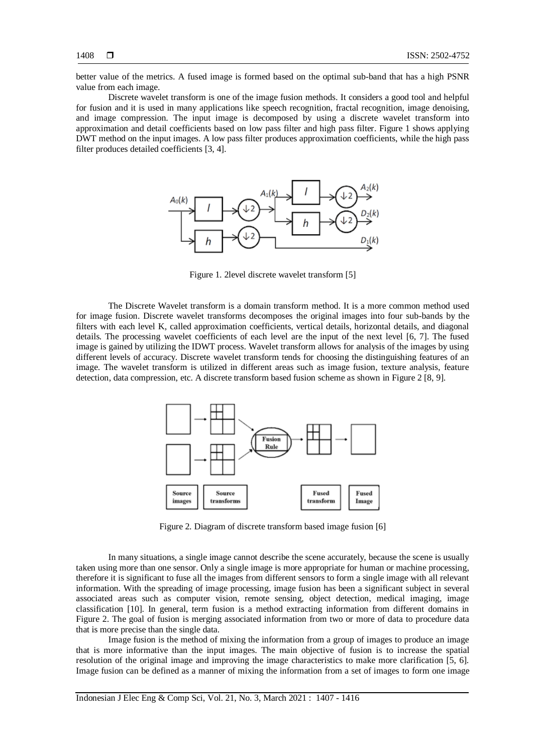better value of the metrics. A fused image is formed based on the optimal sub-band that has a high PSNR value from each image.

Discrete wavelet transform is one of the image fusion methods. It considers a good tool and helpful for fusion and it is used in many applications like speech recognition, fractal recognition, image denoising, and image compression. The input image is decomposed by using a discrete wavelet transform into approximation and detail coefficients based on low pass filter and high pass filter. Figure 1 shows applying DWT method on the input images. A low pass filter produces approximation coefficients, while the high pass filter produces detailed coefficients [3, 4].



Figure 1. 2level discrete wavelet transform [5]

The Discrete Wavelet transform is a domain transform method. It is a more common method used for image fusion. Discrete wavelet transforms decomposes the original images into four sub-bands by the filters with each level K, called approximation coefficients, vertical details, horizontal details, and diagonal details. The processing wavelet coefficients of each level are the input of the next level [6, 7]. The fused image is gained by utilizing the IDWT process. Wavelet transform allows for analysis of the images by using different levels of accuracy. Discrete wavelet transform tends for choosing the distinguishing features of an image. The wavelet transform is utilized in different areas such as image fusion, texture analysis, feature detection, data compression, etc. A discrete transform based fusion scheme as shown in Figure 2 [8, 9].



Figure 2. Diagram of discrete transform based image fusion [6]

In many situations, a single image cannot describe the scene accurately, because the scene is usually taken using more than one sensor. Only a single image is more appropriate for human or machine processing, therefore it is significant to fuse all the images from different sensors to form a single image with all relevant information. With the spreading of image processing, image fusion has been a significant subject in several associated areas such as computer vision, remote sensing, object detection, medical imaging, image classification [10]. In general, term fusion is a method extracting information from different domains in Figure 2. The goal of fusion is merging associated information from two or more of data to procedure data that is more precise than the single data.

Image fusion is the method of mixing the information from a group of images to produce an image that is more informative than the input images. The main objective of fusion is to increase the spatial resolution of the original image and improving the image characteristics to make more clarification [5, 6]. Image fusion can be defined as a manner of mixing the information from a set of images to form one image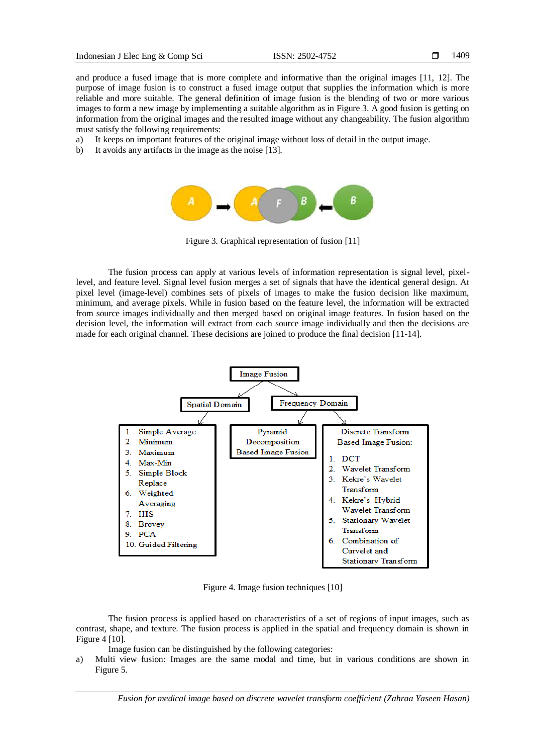and produce a fused image that is more complete and informative than the original images [11, 12]. The purpose of image fusion is to construct a fused image output that supplies the information which is more reliable and more suitable. The general definition of image fusion is the blending of two or more various images to form a new image by implementing a suitable algorithm as in Figure 3. A good fusion is getting on information from the original images and the resulted image without any changeability. The fusion algorithm must satisfy the following requirements:

- a) It keeps on important features of the original image without loss of detail in the output image.
- b) It avoids any artifacts in the image as the noise [13].



Figure 3. Graphical representation of fusion [11]

The fusion process can apply at various levels of information representation is signal level, pixellevel, and feature level. Signal level fusion merges a set of signals that have the identical general design. At pixel level (image-level) combines sets of pixels of images to make the fusion decision like maximum, minimum, and average pixels. While in fusion based on the feature level, the information will be extracted from source images individually and then merged based on original image features. In fusion based on the decision level, the information will extract from each source image individually and then the decisions are made for each original channel. These decisions are joined to produce the final decision [11-14].



Figure 4. Image fusion techniques [10]

The fusion process is applied based on characteristics of a set of regions of input images, such as contrast, shape, and texture. The fusion process is applied in the spatial and frequency domain is shown in Figure 4 [10].

Image fusion can be distinguished by the following categories:

a) Multi view fusion: Images are the same modal and time, but in various conditions are shown in Figure 5.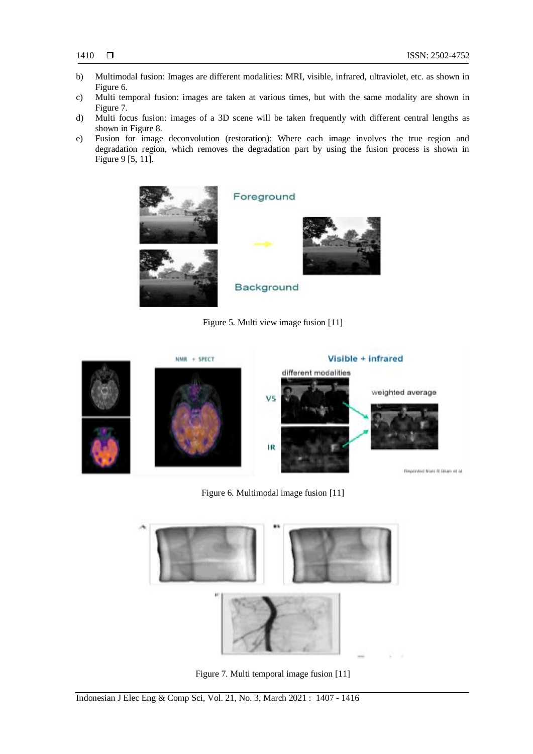- b) Multimodal fusion: Images are different modalities: MRI, visible, infrared, ultraviolet, etc. as shown in Figure 6.
- c) Multi temporal fusion: images are taken at various times, but with the same modality are shown in Figure 7.
- d) Multi focus fusion: images of a 3D scene will be taken frequently with different central lengths as shown in Figure 8.
- e) Fusion for image deconvolution (restoration): Where each image involves the true region and degradation region, which removes the degradation part by using the fusion process is shown in Figure 9 [5, 11].



# Foreground



Background

Figure 5. Multi view image fusion [11]



Figure 6. Multimodal image fusion [11]



Figure 7. Multi temporal image fusion [11]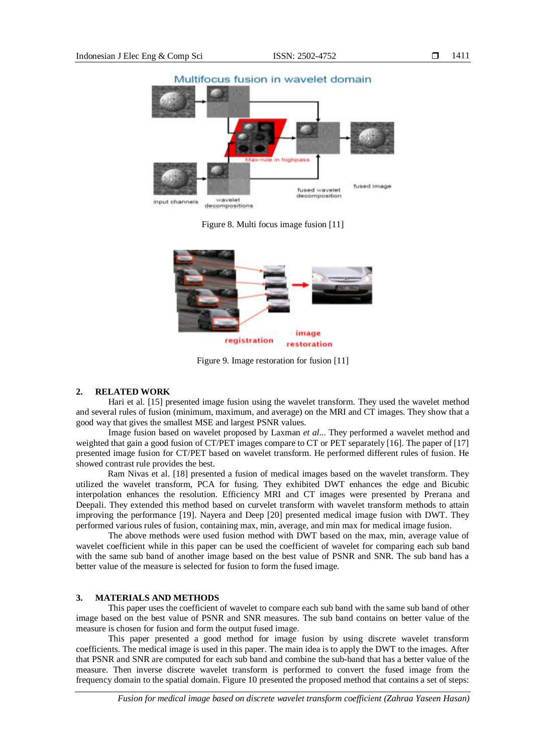

Figure 8. Multi focus image fusion [11]



Figure 9. Image restoration for fusion [11]

# **2. RELATED WORK**

Hari et al. [15] presented image fusion using the wavelet transform. They used the wavelet method and several rules of fusion (minimum, maximum, and average) on the MRI and CT images. They show that a good way that gives the smallest MSE and largest PSNR values.

Image fusion based on wavelet proposed by Laxman *et al*... They performed a wavelet method and weighted that gain a good fusion of CT/PET images compare to CT or PET separately [16]. The paper of [17] presented image fusion for CT/PET based on wavelet transform. He performed different rules of fusion. He showed contrast rule provides the best.

Ram Nivas et al. [18] presented a fusion of medical images based on the wavelet transform. They utilized the wavelet transform, PCA for fusing. They exhibited DWT enhances the edge and Bicubic interpolation enhances the resolution. Efficiency MRI and CT images were presented by Prerana and Deepali. They extended this method based on curvelet transform with wavelet transform methods to attain improving the performance [19]. Nayera and Deep [20] presented medical image fusion with DWT. They performed various rules of fusion, containing max, min, average, and min max for medical image fusion.

The above methods were used fusion method with DWT based on the max, min, average value of wavelet coefficient while in this paper can be used the coefficient of wavelet for comparing each sub band with the same sub band of another image based on the best value of PSNR and SNR. The sub band has a better value of the measure is selected for fusion to form the fused image.

# **3. MATERIALS AND METHODS**

This paper uses the coefficient of wavelet to compare each sub band with the same sub band of other image based on the best value of PSNR and SNR measures. The sub band contains on better value of the measure is chosen for fusion and form the output fused image.

This paper presented a good method for image fusion by using discrete wavelet transform coefficients. The medical image is used in this paper. The main idea is to apply the DWT to the images. After that PSNR and SNR are computed for each sub band and combine the sub-band that has a better value of the measure. Then inverse discrete wavelet transform is performed to convert the fused image from the frequency domain to the spatial domain. Figure 10 presented the proposed method that contains a set of steps: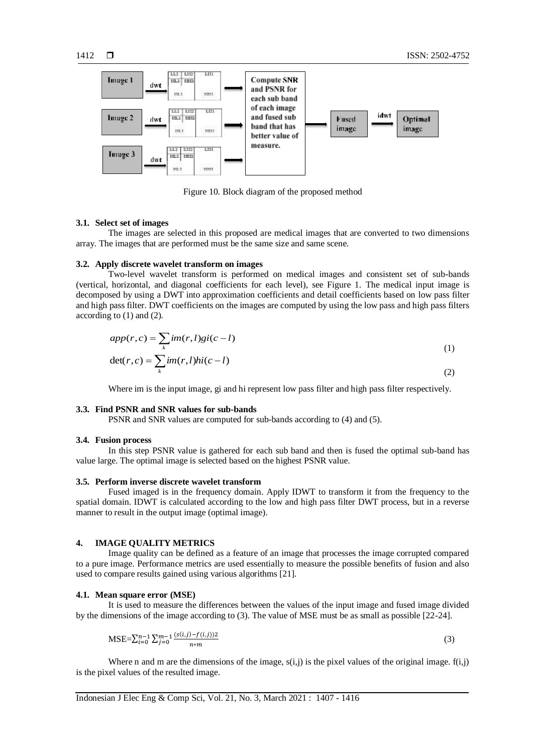

Figure 10. Block diagram of the proposed method

#### **3.1. Select set of images**

The images are selected in this proposed are medical images that are converted to two dimensions array. The images that are performed must be the same size and same scene.

# **3.2. Apply discrete wavelet transform on images**

Two-level wavelet transform is performed on medical images and consistent set of sub-bands (vertical, horizontal, and diagonal coefficients for each level), see Figure 1. The medical input image is decomposed by using a DWT into approximation coefficients and detail coefficients based on low pass filter and high pass filter. DWT coefficients on the images are computed by using the low pass and high pass filters according to (1) and (2).

$$
app(r, c) = \sum_{k} im(r, l)gi(c - l)
$$
  

$$
det(r, c) = \sum_{k} im(r, l)hi(c - l)
$$
 (1)

Where im is the input image, gi and hi represent low pass filter and high pass filter respectively.

#### **3.3. Find PSNR and SNR values for sub-bands**

PSNR and SNR values are computed for sub-bands according to (4) and (5).

#### **3.4. Fusion process**

In this step PSNR value is gathered for each sub band and then is fused the optimal sub-band has value large. The optimal image is selected based on the highest PSNR value.

#### **3.5. Perform inverse discrete wavelet transform**

Fused imaged is in the frequency domain. Apply IDWT to transform it from the frequency to the spatial domain. IDWT is calculated according to the low and high pass filter DWT process, but in a reverse manner to result in the output image (optimal image).

# **4. IMAGE QUALITY METRICS**

Image quality can be defined as a feature of an image that processes the image corrupted compared to a pure image. Performance metrics are used essentially to measure the possible benefits of fusion and also used to compare results gained using various algorithms [21].

#### **4.1. Mean square error (MSE)**

It is used to measure the differences between the values of the input image and fused image divided by the dimensions of the image according to (3). The value of MSE must be as small as possible [22-24].

$$
MSE = \sum_{i=0}^{n-1} \sum_{j=0}^{m-1} \frac{(s(i,j)-f(i,j))2}{n*m}
$$
 (3)

Where n and m are the dimensions of the image,  $s(i,i)$  is the pixel values of the original image.  $f(i,i)$ is the pixel values of the resulted image.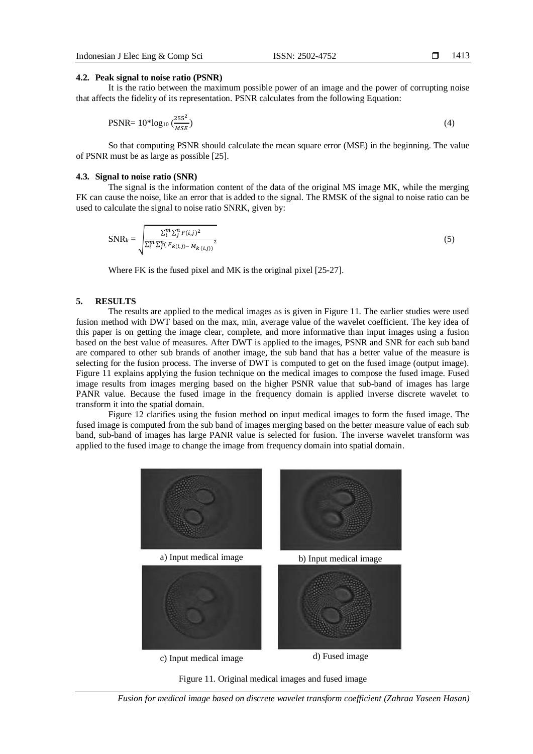1413

## **4.2. Peak signal to noise ratio (PSNR)**

It is the ratio between the maximum possible power of an image and the power of corrupting noise that affects the fidelity of its representation. PSNR calculates from the following Equation:

$$
PSNR = 10^* \log_{10} \left( \frac{255^2}{MSE} \right) \tag{4}
$$

So that computing PSNR should calculate the mean square error (MSE) in the beginning. The value of PSNR must be as large as possible [25].

#### **4.3. Signal to noise ratio (SNR)**

The signal is the information content of the data of the original MS image MK, while the merging FK can cause the noise, like an error that is added to the signal. The RMSK of the signal to noise ratio can be used to calculate the signal to noise ratio SNRK, given by:

$$
SNR_{k} = \sqrt{\frac{\sum_{i}^{m} \sum_{j}^{n} F(i,j)^{2}}{\sum_{i}^{m} \sum_{j}^{n} (F_{k}(i,j) - M_{k}(i,j))^{2}}}
$$
(5)

Where FK is the fused pixel and MK is the original pixel [25-27].

#### **5. RESULTS**

The results are applied to the medical images as is given in Figure 11. The earlier studies were used fusion method with DWT based on the max, min, average value of the wavelet coefficient. The key idea of this paper is on getting the image clear, complete, and more informative than input images using a fusion based on the best value of measures. After DWT is applied to the images, PSNR and SNR for each sub band are compared to other sub brands of another image, the sub band that has a better value of the measure is selecting for the fusion process. The inverse of DWT is computed to get on the fused image (output image). Figure 11 explains applying the fusion technique on the medical images to compose the fused image. Fused image results from images merging based on the higher PSNR value that sub-band of images has large PANR value. Because the fused image in the frequency domain is applied inverse discrete wavelet to transform it into the spatial domain.

Figure 12 clarifies using the fusion method on input medical images to form the fused image. The fused image is computed from the sub band of images merging based on the better measure value of each sub band, sub-band of images has large PANR value is selected for fusion. The inverse wavelet transform was applied to the fused image to change the image from frequency domain into spatial domain.





*Fusion for medical image based on discrete wavelet transform coefficient (Zahraa Yaseen Hasan)*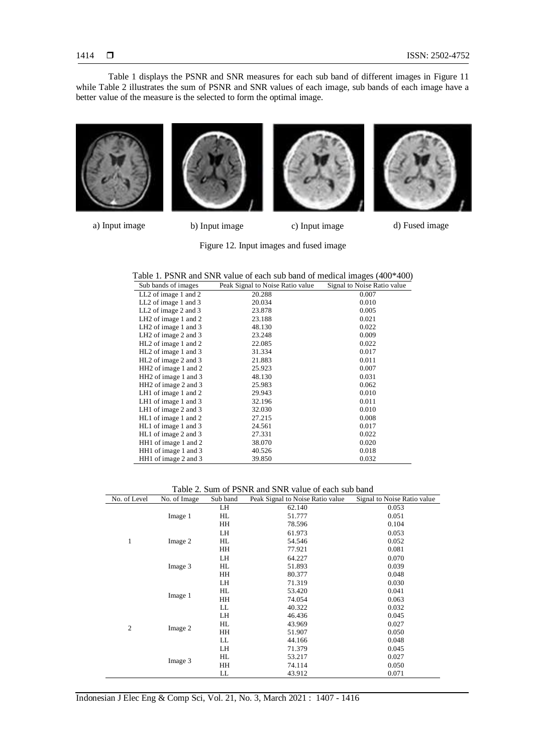Table 1 displays the PSNR and SNR measures for each sub band of different images in Figure 11 while Table 2 illustrates the sum of PSNR and SNR values of each image, sub bands of each image have a better value of the measure is the selected to form the optimal image.





a) Input image b) Input image c) Input image d) Fused image

Figure 12. Input images and fused image

| LL <sub>2</sub> of image 1 and 2<br>20.288<br>0.007<br>LL <sub>2</sub> of image 1 and 3<br>0.010<br>20.034<br>LL <sub>2</sub> of image 2 and 3<br>23.878<br>0.005<br>LH <sub>2</sub> of image 1 and 2<br>0.021<br>23.188<br>LH2 of image $1$ and $3$<br>0.022<br>48.130<br>LH <sub>2</sub> of image $2$ and $3$<br>0.009<br>23.248<br>HL <sub>2</sub> of image 1 and 2<br>0.022<br>22.085<br>HL <sub>2</sub> of image 1 and 3<br>31.334<br>0.017<br>HL <sub>2</sub> of image 2 and 3<br>21.883<br>0.011<br>HH <sub>2</sub> of image 1 and 2<br>0.007<br>25.923<br>HH <sub>2</sub> of image 1 and 3<br>0.031<br>48.130<br>0.062<br>HH <sub>2</sub> of image 2 and 3<br>25.983<br>0.010<br>LH1 of image $1$ and $2$<br>29.943<br>LH1 of image $1$ and $3$<br>0.011<br>32.196<br>0.010<br>LH1 of image $2$ and $3$<br>32.030<br>HL1 of image 1 and 2<br>27.215<br>0.008<br>HL1 of image 1 and 3<br>0.017<br>24.561<br>HL1 of image 2 and 3<br>0.022<br>27.331<br>HH1 of image 1 and 2<br>38.070<br>0.020<br>HH1 of image 1 and 3<br>40.526<br>0.018<br>HH1 of image 2 and 3<br>39.850<br>0.032 | Sub bands of images | Peak Signal to Noise Ratio value | Signal to Noise Ratio value |
|---------------------------------------------------------------------------------------------------------------------------------------------------------------------------------------------------------------------------------------------------------------------------------------------------------------------------------------------------------------------------------------------------------------------------------------------------------------------------------------------------------------------------------------------------------------------------------------------------------------------------------------------------------------------------------------------------------------------------------------------------------------------------------------------------------------------------------------------------------------------------------------------------------------------------------------------------------------------------------------------------------------------------------------------------------------------------------------------|---------------------|----------------------------------|-----------------------------|
|                                                                                                                                                                                                                                                                                                                                                                                                                                                                                                                                                                                                                                                                                                                                                                                                                                                                                                                                                                                                                                                                                             |                     |                                  |                             |
|                                                                                                                                                                                                                                                                                                                                                                                                                                                                                                                                                                                                                                                                                                                                                                                                                                                                                                                                                                                                                                                                                             |                     |                                  |                             |
|                                                                                                                                                                                                                                                                                                                                                                                                                                                                                                                                                                                                                                                                                                                                                                                                                                                                                                                                                                                                                                                                                             |                     |                                  |                             |
|                                                                                                                                                                                                                                                                                                                                                                                                                                                                                                                                                                                                                                                                                                                                                                                                                                                                                                                                                                                                                                                                                             |                     |                                  |                             |
|                                                                                                                                                                                                                                                                                                                                                                                                                                                                                                                                                                                                                                                                                                                                                                                                                                                                                                                                                                                                                                                                                             |                     |                                  |                             |
|                                                                                                                                                                                                                                                                                                                                                                                                                                                                                                                                                                                                                                                                                                                                                                                                                                                                                                                                                                                                                                                                                             |                     |                                  |                             |
|                                                                                                                                                                                                                                                                                                                                                                                                                                                                                                                                                                                                                                                                                                                                                                                                                                                                                                                                                                                                                                                                                             |                     |                                  |                             |
|                                                                                                                                                                                                                                                                                                                                                                                                                                                                                                                                                                                                                                                                                                                                                                                                                                                                                                                                                                                                                                                                                             |                     |                                  |                             |
|                                                                                                                                                                                                                                                                                                                                                                                                                                                                                                                                                                                                                                                                                                                                                                                                                                                                                                                                                                                                                                                                                             |                     |                                  |                             |
|                                                                                                                                                                                                                                                                                                                                                                                                                                                                                                                                                                                                                                                                                                                                                                                                                                                                                                                                                                                                                                                                                             |                     |                                  |                             |
|                                                                                                                                                                                                                                                                                                                                                                                                                                                                                                                                                                                                                                                                                                                                                                                                                                                                                                                                                                                                                                                                                             |                     |                                  |                             |
|                                                                                                                                                                                                                                                                                                                                                                                                                                                                                                                                                                                                                                                                                                                                                                                                                                                                                                                                                                                                                                                                                             |                     |                                  |                             |
|                                                                                                                                                                                                                                                                                                                                                                                                                                                                                                                                                                                                                                                                                                                                                                                                                                                                                                                                                                                                                                                                                             |                     |                                  |                             |
|                                                                                                                                                                                                                                                                                                                                                                                                                                                                                                                                                                                                                                                                                                                                                                                                                                                                                                                                                                                                                                                                                             |                     |                                  |                             |
|                                                                                                                                                                                                                                                                                                                                                                                                                                                                                                                                                                                                                                                                                                                                                                                                                                                                                                                                                                                                                                                                                             |                     |                                  |                             |
|                                                                                                                                                                                                                                                                                                                                                                                                                                                                                                                                                                                                                                                                                                                                                                                                                                                                                                                                                                                                                                                                                             |                     |                                  |                             |
|                                                                                                                                                                                                                                                                                                                                                                                                                                                                                                                                                                                                                                                                                                                                                                                                                                                                                                                                                                                                                                                                                             |                     |                                  |                             |
|                                                                                                                                                                                                                                                                                                                                                                                                                                                                                                                                                                                                                                                                                                                                                                                                                                                                                                                                                                                                                                                                                             |                     |                                  |                             |
|                                                                                                                                                                                                                                                                                                                                                                                                                                                                                                                                                                                                                                                                                                                                                                                                                                                                                                                                                                                                                                                                                             |                     |                                  |                             |
|                                                                                                                                                                                                                                                                                                                                                                                                                                                                                                                                                                                                                                                                                                                                                                                                                                                                                                                                                                                                                                                                                             |                     |                                  |                             |
|                                                                                                                                                                                                                                                                                                                                                                                                                                                                                                                                                                                                                                                                                                                                                                                                                                                                                                                                                                                                                                                                                             |                     |                                  |                             |

Table 2. Sum of PSNR and SNR value of each sub band

| No. of Level   | No. of Image | Sub band | Peak Signal to Noise Ratio value | Signal to Noise Ratio value |
|----------------|--------------|----------|----------------------------------|-----------------------------|
| $\mathbf{1}$   | Image 1      | LH       | 62.140                           | 0.053                       |
|                |              | HL       | 51.777                           | 0.051                       |
|                |              | HH       | 78.596                           | 0.104                       |
|                | Image 2      | LH       | 61.973                           | 0.053                       |
|                |              | HL       | 54.546                           | 0.052                       |
|                |              | HH       | 77.921                           | 0.081                       |
|                | Image 3      | LH       | 64.227                           | 0.070                       |
|                |              | HL       | 51.893                           | 0.039                       |
|                |              | HH       | 80.377                           | 0.048                       |
| $\overline{2}$ | Image 1      | LH       | 71.319                           | 0.030                       |
|                |              | HL       | 53.420                           | 0.041                       |
|                |              | HH       | 74.054                           | 0.063                       |
|                |              | LL       | 40.322                           | 0.032                       |
|                | Image 2      | LH       | 46.436                           | 0.045                       |
|                |              | HL       | 43.969                           | 0.027                       |
|                |              | HH       | 51.907                           | 0.050                       |
|                |              | LL       | 44.166                           | 0.048                       |
|                | Image 3      | LH       | 71.379                           | 0.045                       |
|                |              | HL       | 53.217                           | 0.027                       |
|                |              | HH       | 74.114                           | 0.050                       |
|                |              | LL       | 43.912                           | 0.071                       |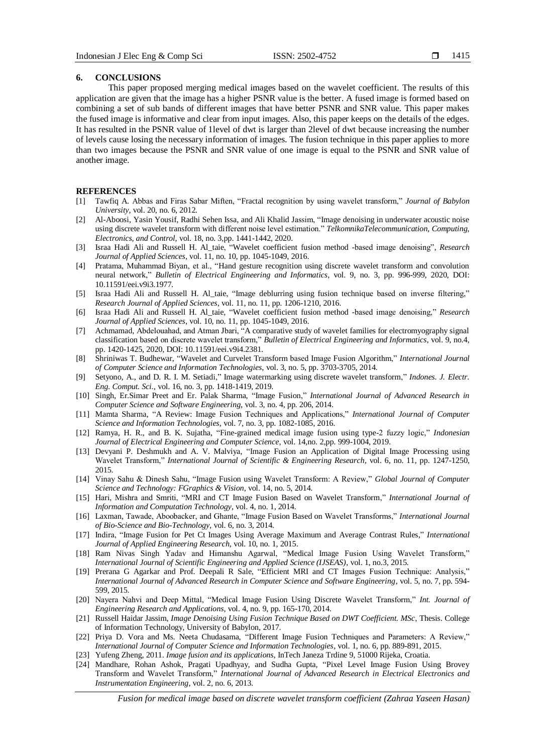# **6. CONCLUSIONS**

This paper proposed merging medical images based on the wavelet coefficient. The results of this application are given that the image has a higher PSNR value is the better. A fused image is formed based on combining a set of sub bands of different images that have better PSNR and SNR value. This paper makes the fused image is informative and clear from input images. Also, this paper keeps on the details of the edges. It has resulted in the PSNR value of 1level of dwt is larger than 2level of dwt because increasing the number of levels cause losing the necessary information of images. The fusion technique in this paper applies to more than two images because the PSNR and SNR value of one image is equal to the PSNR and SNR value of another image.

# **REFERENCES**

- [1] Tawfiq A. Abbas and Firas Sabar Miften, "Fractal recognition by using wavelet transform," *Journal of Babylon University*, vol. 20, no. 6, 2012*.*
- [2] Al-Aboosi, Yasin Yousif, Radhi Sehen Issa, and Ali Khalid Jassim, "Image denoising in underwater acoustic noise using discrete wavelet transform with different noise level estimation." *TelkomnikaTelecommunication, Computing, Electronics, and Control*, vol. 18, no. 3,pp. 1441-1442, 2020.
- [3] Israa Hadi Ali and Russell H. Al\_taie, "Wavelet coefficient fusion method -based image denoising", *Research Journal of Applied Sciences*, vol. 11, no. 10, pp. 1045-1049, 2016.
- [4] Pratama, Muhammad Biyan, et al., "Hand gesture recognition using discrete wavelet transform and convolution neural network," *Bulletin of Electrical Engineering and Informatics*, vol. 9, no. 3, pp. 996-999, 2020, DOI: 10.11591/eei.v9i3.1977.
- [5] Israa Hadi Ali and Russell H. Al\_taie, "Image deblurring using fusion technique based on inverse filtering," *Research Journal of Applied Sciences*, vol. 11, no. 11, pp. 1206-1210, 2016.
- [6] Israa Hadi Ali and Russell H. Al\_taie, "Wavelet coefficient fusion method -based image denoising," *Research Journal of Applied Sciences*, vol. 10, no. 11, pp. 1045-1049, 2016.
- [7] Achmamad, Abdelouahad, and Atman Jbari, "A comparative study of wavelet families for electromyography signal classification based on discrete wavelet transform," *Bulletin of Electrical Engineering and Informatics*, vol. 9, no.4, pp. 1420-1425, 2020, DOI: 10.11591/eei.v9i4.2381.
- [8] Shriniwas T. Budhewar, "Wavelet and Curvelet Transform based Image Fusion Algorithm," *International Journal of Computer Science and Information Technologies*, vol. 3, no. 5, pp. 3703-3705, 2014.
- [9] Setyono, A., and D. R. I. M. Setiadi," Image watermarking using discrete wavelet transform," *Indones. J. Electr. Eng. Comput. Sci.*, vol. 16, no. 3, pp. 1418-1419, 2019.
- [10] Singh, Er.Simar Preet and Er. Palak Sharma, "Image Fusion," *International Journal of Advanced Research in Computer Science and Software Engineering*, vol. 3, no. 4, pp. 206, 2014.
- [11] Mamta Sharma, "A Review: Image Fusion Techniques and Applications," *International Journal of Computer Science and Information Technologies*, vol. 7, no. 3, pp. 1082-1085, 2016.
- [12] Ramya, H. R., and B. K. Sujatha, "Fine-grained medical image fusion using type-2 fuzzy logic," *Indonesian Journal of Electrical Engineering and Computer Science*, vol. 14,no. 2,pp. 999-1004, 2019.
- [13] Devyani P. Deshmukh and A. V. Malviya, "Image Fusion an Application of Digital Image Processing using Wavelet Transform," *International Journal of Scientific & Engineering Research*, vol. 6, no. 11, pp. 1247-1250, 2015.
- [14] Vinay Sahu & Dinesh Sahu, "Image Fusion using Wavelet Transform: A Review," *Global Journal of Computer Science and Technology: FGraphics & Vision*, vol. 14, no. 5, 2014.
- [15] Hari, Mishra and Smriti, "MRI and CT Image Fusion Based on Wavelet Transform," *International Journal of Information and Computation Technology*, vol. 4, no. 1, 2014.
- [16] Laxman, Tawade, Aboobacker, and Ghante, "Image Fusion Based on Wavelet Transforms," *International Journal of Bio-Science and Bio-Technology*, vol. 6, no. 3, 2014.
- [17] Indira, "Image Fusion for Pet Ct Images Using Average Maximum and Average Contrast Rules," *International Journal of Applied Engineering Research*, vol. 10, no. 1, 2015.
- [18] Ram Nivas Singh Yadav and Himanshu Agarwal, "Medical Image Fusion Using Wavelet Transform," *International Journal of Scientific Engineering and Applied Science (IJSEAS)*, vol. 1, no.3, 2015.
- [19] Prerana G Agarkar and Prof. Deepali R Sale, "Efficient MRI and CT Images Fusion Technique: Analysis," *International Journal of Advanced Research in Computer Science and Software Engineering*, vol. 5, no. 7, pp. 594- 599, 2015.
- [20] Nayera Nahvi and Deep Mittal, "Medical Image Fusion Using Discrete Wavelet Transform," *Int. Journal of Engineering Research and Applications*, vol. 4, no. 9, pp. 165-170, 2014.
- [21] Russell Haidar Jassim, *Image Denoising Using Fusion Technique Based on DWT Coefficient. MSc*, Thesis. College of Information Technology, University of Babylon, 2017.
- [22] Priya D. Vora and Ms. Neeta Chudasama, "Different Image Fusion Techniques and Parameters: A Review," *International Journal of Computer Science and Information Technologies*, vol. 1, no. 6, pp. 889-891, 2015.
- [23] Yufeng Zheng, 2011. *Image fusion and its applications*, InTech Janeza Trdine 9, 51000 Rijeka, Croatia.
- [24] Mandhare, Rohan Ashok, Pragati Upadhyay, and Sudha Gupta, "Pixel Level Image Fusion Using Brovey Transform and Wavelet Transform," *International Journal of Advanced Research in Electrical Electronics and Instrumentation Engineering*, vol. 2, no. 6, 2013.